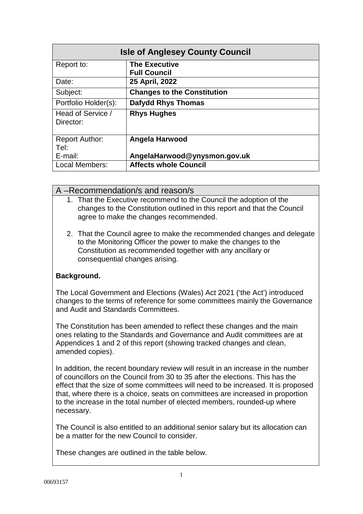| <b>Isle of Anglesey County Council</b> |                                             |  |
|----------------------------------------|---------------------------------------------|--|
| Report to:                             | <b>The Executive</b><br><b>Full Council</b> |  |
| Date:                                  | 25 April, 2022                              |  |
| Subject:                               | <b>Changes to the Constitution</b>          |  |
| Portfolio Holder(s):                   | <b>Dafydd Rhys Thomas</b>                   |  |
| Head of Service /<br>Director:         | <b>Rhys Hughes</b>                          |  |
| <b>Report Author:</b><br>Tel:          | Angela Harwood                              |  |
| E-mail:                                | AngelaHarwood@ynysmon.gov.uk                |  |
| Local Members:                         | <b>Affects whole Council</b>                |  |

## A –Recommendation/s and reason/s

- 1. That the Executive recommend to the Council the adoption of the changes to the Constitution outlined in this report and that the Council agree to make the changes recommended.
- 2. That the Council agree to make the recommended changes and delegate to the Monitoring Officer the power to make the changes to the Constitution as recommended together with any ancillary or consequential changes arising.

# **Background.**

The Local Government and Elections (Wales) Act 2021 ('the Act') introduced changes to the terms of reference for some committees mainly the Governance and Audit and Standards Committees.

The Constitution has been amended to reflect these changes and the main ones relating to the Standards and Governance and Audit committees are at Appendices 1 and 2 of this report (showing tracked changes and clean, amended copies).

In addition, the recent boundary review will result in an increase in the number of councillors on the Council from 30 to 35 after the elections. This has the effect that the size of some committees will need to be increased. It is proposed that, where there is a choice, seats on committees are increased in proportion to the increase in the total number of elected members, rounded-up where necessary.

The Council is also entitled to an additional senior salary but its allocation can be a matter for the new Council to consider.

These changes are outlined in the table below.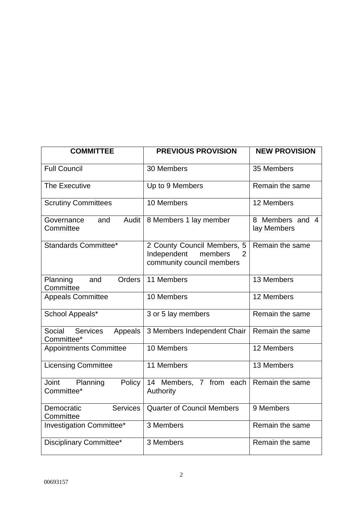| <b>COMMITTEE</b>                                   | <b>PREVIOUS PROVISION</b>                                                               | <b>NEW PROVISION</b>           |
|----------------------------------------------------|-----------------------------------------------------------------------------------------|--------------------------------|
| <b>Full Council</b>                                | 30 Members                                                                              | 35 Members                     |
| The Executive                                      | Up to 9 Members                                                                         | Remain the same                |
| <b>Scrutiny Committees</b>                         | 10 Members                                                                              | 12 Members                     |
| Audit<br>Governance<br>and<br>Committee            | 8 Members 1 lay member                                                                  | 8 Members and 4<br>lay Members |
| Standards Committee*                               | 2 County Council Members, 5<br>Independent<br>members<br>2<br>community council members | Remain the same                |
| Planning<br>and<br><b>Orders</b><br>Committee      | 11 Members                                                                              | 13 Members                     |
| <b>Appeals Committee</b>                           | 10 Members                                                                              | 12 Members                     |
| School Appeals*                                    | 3 or 5 lay members                                                                      | Remain the same                |
| Social<br><b>Services</b><br>Appeals<br>Committee* | 3 Members Independent Chair                                                             | Remain the same                |
| <b>Appointments Committee</b>                      | 10 Members                                                                              | 12 Members                     |
| <b>Licensing Committee</b>                         | 11 Members                                                                              | 13 Members                     |
| Joint<br>Planning<br>Policy<br>Committee*          | 14 Members, 7 from<br>each<br>Authority                                                 | Remain the same                |
| <b>Services</b><br>Democratic<br>Committee         | <b>Quarter of Council Members</b>                                                       | 9 Members                      |
| Investigation Committee*                           | 3 Members                                                                               | Remain the same                |
| Disciplinary Committee*                            | 3 Members                                                                               | Remain the same                |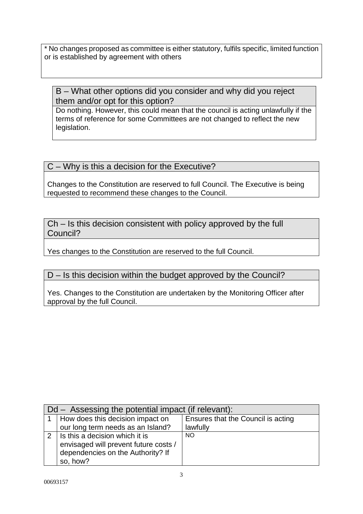\* No changes proposed as committee is either statutory, fulfils specific, limited function or is established by agreement with others

# B – What other options did you consider and why did you reject them and/or opt for this option?

Do nothing. However, this could mean that the council is acting unlawfully if the terms of reference for some Committees are not changed to reflect the new legislation.

# C – Why is this a decision for the Executive?

Changes to the Constitution are reserved to full Council. The Executive is being requested to recommend these changes to the Council.

Ch – Is this decision consistent with policy approved by the full Council?

Yes changes to the Constitution are reserved to the full Council.

# D – Is this decision within the budget approved by the Council?

Yes. Changes to the Constitution are undertaken by the Monitoring Officer after approval by the full Council.

| $Dd -$ Assessing the potential impact (if relevant): |                                       |                                    |
|------------------------------------------------------|---------------------------------------|------------------------------------|
|                                                      | How does this decision impact on      | Ensures that the Council is acting |
|                                                      | our long term needs as an Island?     | lawfully                           |
| $\mathcal{P}$                                        | Is this a decision which it is        | NO.                                |
|                                                      | envisaged will prevent future costs / |                                    |
|                                                      | dependencies on the Authority? If     |                                    |
|                                                      | so, how?                              |                                    |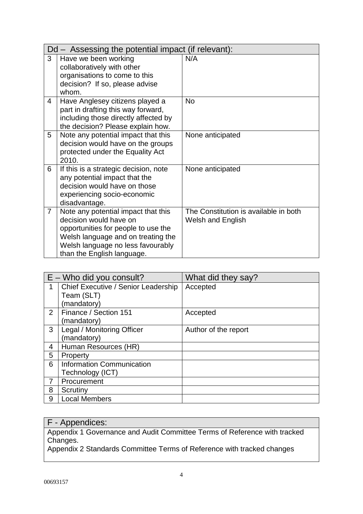| Dd – Assessing the potential impact (if relevant): |                                                                                                                                                                                                               |                                                                   |
|----------------------------------------------------|---------------------------------------------------------------------------------------------------------------------------------------------------------------------------------------------------------------|-------------------------------------------------------------------|
| 3                                                  | Have we been working<br>collaboratively with other<br>organisations to come to this<br>decision? If so, please advise<br>whom.                                                                                | N/A                                                               |
| $\overline{4}$                                     | Have Anglesey citizens played a<br>part in drafting this way forward,<br>including those directly affected by<br>the decision? Please explain how.                                                            | <b>No</b>                                                         |
| 5                                                  | Note any potential impact that this<br>decision would have on the groups<br>protected under the Equality Act<br>2010.                                                                                         | None anticipated                                                  |
| 6                                                  | If this is a strategic decision, note<br>any potential impact that the<br>decision would have on those<br>experiencing socio-economic<br>disadvantage.                                                        | None anticipated                                                  |
| $\overline{7}$                                     | Note any potential impact that this<br>decision would have on<br>opportunities for people to use the<br>Welsh language and on treating the<br>Welsh language no less favourably<br>than the English language. | The Constitution is available in both<br><b>Welsh and English</b> |

| $E -$ Who did you consult? |                                     | What did they say?   |
|----------------------------|-------------------------------------|----------------------|
| 1                          | Chief Executive / Senior Leadership | Accepted             |
|                            | Team (SLT)                          |                      |
|                            | (mandatory)                         |                      |
| $\overline{2}$             | Finance / Section 151               | Accepted             |
|                            | (mandatory)                         |                      |
| 3                          | Legal / Monitoring Officer          | Author of the report |
|                            | (mandatory)                         |                      |
| 4                          | Human Resources (HR)                |                      |
| 5                          | Property                            |                      |
| 6                          | Information Communication           |                      |
|                            | Technology (ICT)                    |                      |
|                            | Procurement                         |                      |
| 8                          | Scrutiny                            |                      |
| 9                          | <b>Local Members</b>                |                      |

# F - Appendices:

Appendix 1 Governance and Audit Committee Terms of Reference with tracked Changes.

Appendix 2 Standards Committee Terms of Reference with tracked changes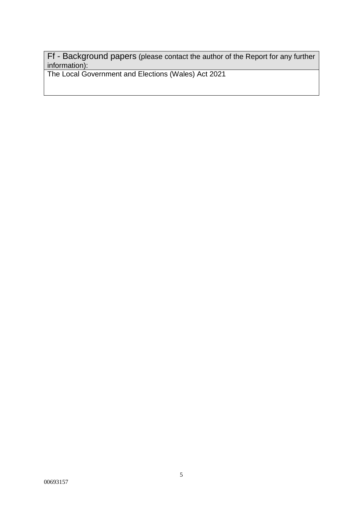Ff - Background papers (please contact the author of the Report for any further information):

The Local Government and Elections (Wales) Act 2021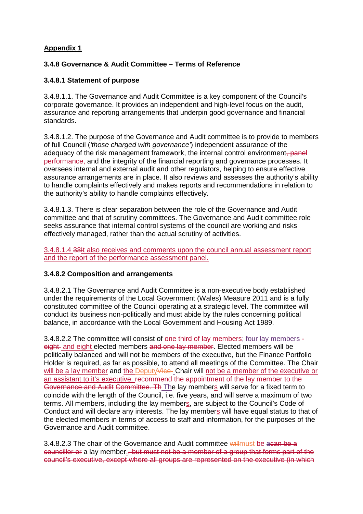# **Appendix 1**

## **3.4.8 Governance & Audit Committee – Terms of Reference**

## **3.4.8.1 Statement of purpose**

3.4.8.1.1. The Governance and Audit Committee is a key component of the Council's corporate governance. It provides an independent and high-level focus on the audit, assurance and reporting arrangements that underpin good governance and financial standards.

3.4.8.1.2. The purpose of the Governance and Audit committee is to provide to members of full Council (*'those charged with governance'*) independent assurance of the adequacy of the risk management framework, the internal control environment, panel performance, and the integrity of the financial reporting and governance processes. It oversees internal and external audit and other regulators, helping to ensure effective assurance arrangements are in place. It also reviews and assesses the authority's ability to handle complaints effectively and makes reports and recommendations in relation to the authority's ability to handle complaints effectively.

3.4.8.1.3. There is clear separation between the role of the Governance and Audit committee and that of scrutiny committees. The Governance and Audit committee role seeks assurance that internal control systems of the council are working and risks effectively managed, rather than the actual scrutiny of activities.

3.4.8.1.4 33It also receives and comments upon the council annual assessment report and the report of the performance assessment panel.

### **3.4.8.2 Composition and arrangements**

3.4.8.2.1 The Governance and Audit Committee is a non-executive body established under the requirements of the Local Government (Wales) Measure 2011 and is a fully constituted committee of the Council operating at a strategic level. The committee will conduct its business non-politically and must abide by the rules concerning political balance, in accordance with the Local Government and Housing Act 1989.

3.4.8.2.2 The committee will consist of one third of lay members; four lay members eight and eight elected members and one lay member. Elected members will be politically balanced and will not be members of the executive, but the Finance Portfolio Holder is required, as far as possible, to attend all meetings of the Committee. The Chair will be a lay member and the Deputy<del>Vice</del>- Chair will not be a member of the executive or an assistant to it's executive. recommend the appointment of the lay member to the Governance and Audit Committee. Th The lay members will serve for a fixed term to coincide with the length of the Council, i.e. five years, and will serve a maximum of two terms. All members, including the lay members, are subject to the Council's Code of Conduct and will declare any interests. The lay members will have equal status to that of the elected members in terms of access to staff and information, for the purposes of the Governance and Audit committee.

3.4.8.2.3 The chair of the Governance and Audit committee willmust be acan be a councillor or a lay member., but must not be a member of a group that forms part of the council's executive, except where all groups are represented on the executive (in which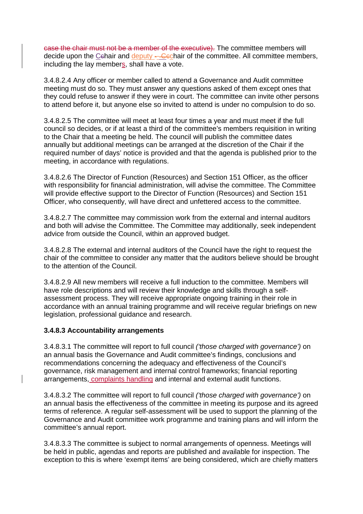case the chair must not be a member of the executive). The committee members will decide upon the Cehair and deputy ---Cechair of the committee. All committee members, including the lay members, shall have a vote.

3.4.8.2.4 Any officer or member called to attend a Governance and Audit committee meeting must do so. They must answer any questions asked of them except ones that they could refuse to answer if they were in court. The committee can invite other persons to attend before it, but anyone else so invited to attend is under no compulsion to do so.

3.4.8.2.5 The committee will meet at least four times a year and must meet if the full council so decides, or if at least a third of the committee's members requisition in writing to the Chair that a meeting be held. The council will publish the committee dates annually but additional meetings can be arranged at the discretion of the Chair if the required number of days' notice is provided and that the agenda is published prior to the meeting, in accordance with regulations.

3.4.8.2.6 The Director of Function (Resources) and Section 151 Officer, as the officer with responsibility for financial administration, will advise the committee. The Committee will provide effective support to the Director of Function (Resources) and Section 151 Officer, who consequently, will have direct and unfettered access to the committee.

3.4.8.2.7 The committee may commission work from the external and internal auditors and both will advise the Committee. The Committee may additionally, seek independent advice from outside the Council, within an approved budget.

3.4.8.2.8 The external and internal auditors of the Council have the right to request the chair of the committee to consider any matter that the auditors believe should be brought to the attention of the Council.

3.4.8.2.9 All new members will receive a full induction to the committee. Members will have role descriptions and will review their knowledge and skills through a selfassessment process. They will receive appropriate ongoing training in their role in accordance with an annual training programme and will receive regular briefings on new legislation, professional guidance and research.

## **3.4.8.3 Accountability arrangements**

3.4.8.3.1 The committee will report to full council *('those charged with governance')* on an annual basis the Governance and Audit committee's findings, conclusions and recommendations concerning the adequacy and effectiveness of the Council's governance, risk management and internal control frameworks; financial reporting arrangements, complaints handling and internal and external audit functions.

3.4.8.3.2 The committee will report to full council *('those charged with governance')* on an annual basis the effectiveness of the committee in meeting its purpose and its agreed terms of reference. A regular self-assessment will be used to support the planning of the Governance and Audit committee work programme and training plans and will inform the committee's annual report.

3.4.8.3.3 The committee is subject to normal arrangements of openness. Meetings will be held in public, agendas and reports are published and available for inspection. The exception to this is where 'exempt items' are being considered, which are chiefly matters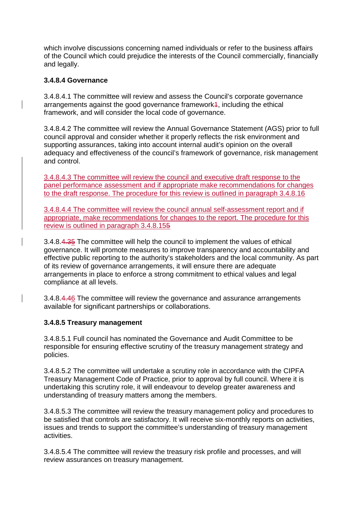which involve discussions concerning named individuals or refer to the business affairs of the Council which could prejudice the interests of the Council commercially, financially and legally.

## **3.4.8.4 Governance**

3.4.8.4.1 The committee will review and assess the Council's corporate governance arrangements against the good governance framework4, including the ethical framework, and will consider the local code of governance.

3.4.8.4.2 The committee will review the Annual Governance Statement (AGS) prior to full council approval and consider whether it properly reflects the risk environment and supporting assurances, taking into account internal audit's opinion on the overall adequacy and effectiveness of the council's framework of governance, risk management and control.

3.4.8.4.3 The committee will review the council and executive draft response to the panel performance assessment and if appropriate make recommendations for changes to the draft response. The procedure for this review is outlined in paragraph 3.4.8.16

3.4.8.4.4 The committee will review the council annual self-assessment report and if appropriate, make recommendations for changes to the report. The procedure for this review is outlined in paragraph 3.4.8.155

3.4.8.4.35 The committee will help the council to implement the values of ethical governance. It will promote measures to improve transparency and accountability and effective public reporting to the authority's stakeholders and the local community. As part of its review of governance arrangements, it will ensure there are adequate arrangements in place to enforce a strong commitment to ethical values and legal compliance at all levels.

3.4.8.4.46 The committee will review the governance and assurance arrangements available for significant partnerships or collaborations.

## **3.4.8.5 Treasury management**

3.4.8.5.1 Full council has nominated the Governance and Audit Committee to be responsible for ensuring effective scrutiny of the treasury management strategy and policies.

3.4.8.5.2 The committee will undertake a scrutiny role in accordance with the CIPFA Treasury Management Code of Practice, prior to approval by full council. Where it is undertaking this scrutiny role, it will endeavour to develop greater awareness and understanding of treasury matters among the members.

3.4.8.5.3 The committee will review the treasury management policy and procedures to be satisfied that controls are satisfactory. It will receive six-monthly reports on activities, issues and trends to support the committee's understanding of treasury management activities.

3.4.8.5.4 The committee will review the treasury risk profile and processes, and will review assurances on treasury management.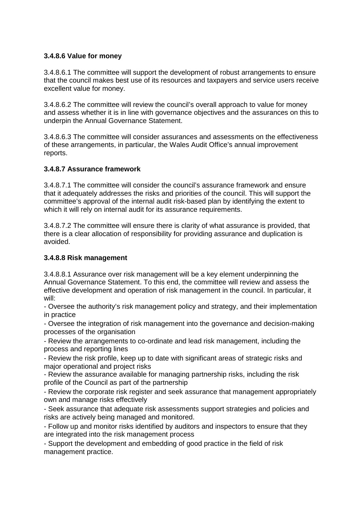## **3.4.8.6 Value for money**

3.4.8.6.1 The committee will support the development of robust arrangements to ensure that the council makes best use of its resources and taxpayers and service users receive excellent value for money.

3.4.8.6.2 The committee will review the council's overall approach to value for money and assess whether it is in line with governance objectives and the assurances on this to underpin the Annual Governance Statement.

3.4.8.6.3 The committee will consider assurances and assessments on the effectiveness of these arrangements, in particular, the Wales Audit Office's annual improvement reports.

## **3.4.8.7 Assurance framework**

3.4.8.7.1 The committee will consider the council's assurance framework and ensure that it adequately addresses the risks and priorities of the council. This will support the committee's approval of the internal audit risk-based plan by identifying the extent to which it will rely on internal audit for its assurance requirements.

3.4.8.7.2 The committee will ensure there is clarity of what assurance is provided, that there is a clear allocation of responsibility for providing assurance and duplication is avoided.

## **3.4.8.8 Risk management**

3.4.8.8.1 Assurance over risk management will be a key element underpinning the Annual Governance Statement. To this end, the committee will review and assess the effective development and operation of risk management in the council. In particular, it will:

- Oversee the authority's risk management policy and strategy, and their implementation in practice

- Oversee the integration of risk management into the governance and decision-making processes of the organisation

- Review the arrangements to co-ordinate and lead risk management, including the process and reporting lines

- Review the risk profile, keep up to date with significant areas of strategic risks and major operational and project risks

- Review the assurance available for managing partnership risks, including the risk profile of the Council as part of the partnership

- Review the corporate risk register and seek assurance that management appropriately own and manage risks effectively

- Seek assurance that adequate risk assessments support strategies and policies and risks are actively being managed and monitored.

- Follow up and monitor risks identified by auditors and inspectors to ensure that they are integrated into the risk management process

- Support the development and embedding of good practice in the field of risk management practice.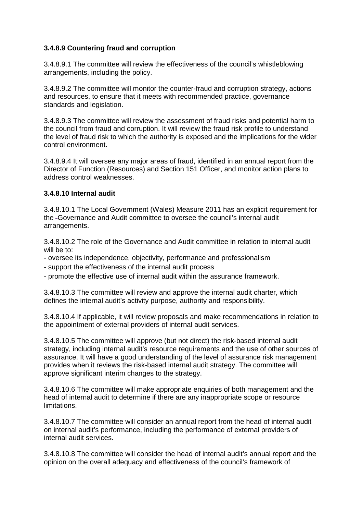## **3.4.8.9 Countering fraud and corruption**

3.4.8.9.1 The committee will review the effectiveness of the council's whistleblowing arrangements, including the policy.

3.4.8.9.2 The committee will monitor the counter-fraud and corruption strategy, actions and resources, to ensure that it meets with recommended practice, governance standards and legislation.

3.4.8.9.3 The committee will review the assessment of fraud risks and potential harm to the council from fraud and corruption. It will review the fraud risk profile to understand the level of fraud risk to which the authority is exposed and the implications for the wider control environment.

3.4.8.9.4 It will oversee any major areas of fraud, identified in an annual report from the Director of Function (Resources) and Section 151 Officer, and monitor action plans to address control weaknesses.

## **3.4.8.10 Internal audit**

3.4.8.10.1 The Local Government (Wales) Measure 2011 has an explicit requirement for the Governance and Audit committee to oversee the council's internal audit arrangements.

3.4.8.10.2 The role of the Governance and Audit committee in relation to internal audit will be to:

- oversee its independence, objectivity, performance and professionalism
- support the effectiveness of the internal audit process
- promote the effective use of internal audit within the assurance framework.

3.4.8.10.3 The committee will review and approve the internal audit charter, which defines the internal audit's activity purpose, authority and responsibility.

3.4.8.10.4 If applicable, it will review proposals and make recommendations in relation to the appointment of external providers of internal audit services.

3.4.8.10.5 The committee will approve (but not direct) the risk-based internal audit strategy, including internal audit's resource requirements and the use of other sources of assurance. It will have a good understanding of the level of assurance risk management provides when it reviews the risk-based internal audit strategy. The committee will approve significant interim changes to the strategy.

3.4.8.10.6 The committee will make appropriate enquiries of both management and the head of internal audit to determine if there are any inappropriate scope or resource limitations.

3.4.8.10.7 The committee will consider an annual report from the head of internal audit on internal audit's performance, including the performance of external providers of internal audit services.

3.4.8.10.8 The committee will consider the head of internal audit's annual report and the opinion on the overall adequacy and effectiveness of the council's framework of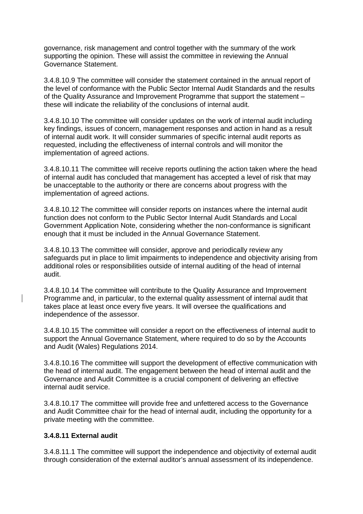governance, risk management and control together with the summary of the work supporting the opinion. These will assist the committee in reviewing the Annual Governance Statement.

3.4.8.10.9 The committee will consider the statement contained in the annual report of the level of conformance with the Public Sector Internal Audit Standards and the results of the Quality Assurance and Improvement Programme that support the statement – these will indicate the reliability of the conclusions of internal audit.

3.4.8.10.10 The committee will consider updates on the work of internal audit including key findings, issues of concern, management responses and action in hand as a result of internal audit work. It will consider summaries of specific internal audit reports as requested, including the effectiveness of internal controls and will monitor the implementation of agreed actions.

3.4.8.10.11 The committee will receive reports outlining the action taken where the head of internal audit has concluded that management has accepted a level of risk that may be unacceptable to the authority or there are concerns about progress with the implementation of agreed actions.

3.4.8.10.12 The committee will consider reports on instances where the internal audit function does not conform to the Public Sector Internal Audit Standards and Local Government Application Note, considering whether the non-conformance is significant enough that it must be included in the Annual Governance Statement.

3.4.8.10.13 The committee will consider, approve and periodically review any safeguards put in place to limit impairments to independence and objectivity arising from additional roles or responsibilities outside of internal auditing of the head of internal audit.

3.4.8.10.14 The committee will contribute to the Quality Assurance and Improvement Programme and, in particular, to the external quality assessment of internal audit that takes place at least once every five years. It will oversee the qualifications and independence of the assessor.

3.4.8.10.15 The committee will consider a report on the effectiveness of internal audit to support the Annual Governance Statement, where required to do so by the Accounts and Audit (Wales) Regulations 2014.

3.4.8.10.16 The committee will support the development of effective communication with the head of internal audit. The engagement between the head of internal audit and the Governance and Audit Committee is a crucial component of delivering an effective internal audit service.

3.4.8.10.17 The committee will provide free and unfettered access to the Governance and Audit Committee chair for the head of internal audit, including the opportunity for a private meeting with the committee.

### **3.4.8.11 External audit**

3.4.8.11.1 The committee will support the independence and objectivity of external audit through consideration of the external auditor's annual assessment of its independence.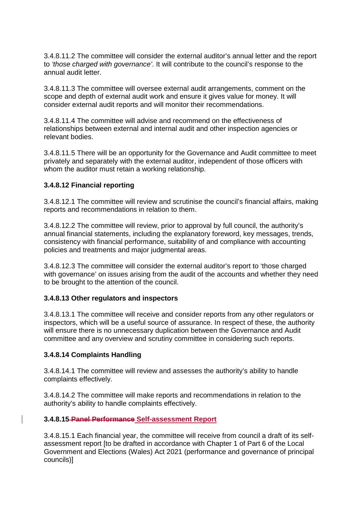3.4.8.11.2 The committee will consider the external auditor's annual letter and the report to *'those charged with governance'*. It will contribute to the council's response to the annual audit letter.

3.4.8.11.3 The committee will oversee external audit arrangements, comment on the scope and depth of external audit work and ensure it gives value for money. It will consider external audit reports and will monitor their recommendations.

3.4.8.11.4 The committee will advise and recommend on the effectiveness of relationships between external and internal audit and other inspection agencies or relevant bodies.

3.4.8.11.5 There will be an opportunity for the Governance and Audit committee to meet privately and separately with the external auditor, independent of those officers with whom the auditor must retain a working relationship.

## **3.4.8.12 Financial reporting**

3.4.8.12.1 The committee will review and scrutinise the council's financial affairs, making reports and recommendations in relation to them.

3.4.8.12.2 The committee will review, prior to approval by full council, the authority's annual financial statements, including the explanatory foreword, key messages, trends, consistency with financial performance, suitability of and compliance with accounting policies and treatments and major judgmental areas.

3.4.8.12.3 The committee will consider the external auditor's report to 'those charged with governance' on issues arising from the audit of the accounts and whether they need to be brought to the attention of the council.

### **3.4.8.13 Other regulators and inspectors**

3.4.8.13.1 The committee will receive and consider reports from any other regulators or inspectors, which will be a useful source of assurance. In respect of these, the authority will ensure there is no unnecessary duplication between the Governance and Audit committee and any overview and scrutiny committee in considering such reports.

### **3.4.8.14 Complaints Handling**

3.4.8.14.1 The committee will review and assesses the authority's ability to handle complaints effectively.

3.4.8.14.2 The committee will make reports and recommendations in relation to the authority's ability to handle complaints effectively.

## **3.4.8.15 Panel Performance Self-assessment Report**

3.4.8.15.1 Each financial year, the committee will receive from council a draft of its selfassessment report [to be drafted in accordance with Chapter 1 of Part 6 of the Local Government and Elections (Wales) Act 2021 (performance and governance of principal councils)]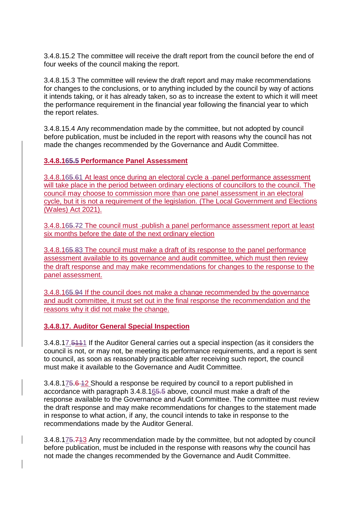3.4.8.15.2 The committee will receive the draft report from the council before the end of four weeks of the council making the report.

3.4.8.15.3 The committee will review the draft report and may make recommendations for changes to the conclusions, or to anything included by the council by way of actions it intends taking, or it has already taken, so as to increase the extent to which it will meet the performance requirement in the financial year following the financial year to which the report relates.

3.4.8.15.4 Any recommendation made by the committee, but not adopted by council before publication, must be included in the report with reasons why the council has not made the changes recommended by the Governance and Audit Committee.

**3.4.8.165.5 Performance Panel Assessment**

3.4.8.165.61 At least once during an electoral cycle a -panel performance assessment will take place in the period between ordinary elections of councillors to the council. The council may choose to commission more than one panel assessment in an electoral cycle, but it is not a requirement of the legislation. (The Local Government and Elections (Wales) Act 2021).

3.4.8.165.72 The council must -publish a panel performance assessment report at least six months before the date of the next ordinary election

3.4.8.165.83 The council must make a draft of its response to the panel performance assessment available to its governance and audit committee, which must then review the draft response and may make recommendations for changes to the response to the panel assessment.

3.4.8.165.94 If the council does not make a change recommended by the governance and audit committee, it must set out in the final response the recommendation and the reasons why it did not make the change.

**3.4.8.17. Auditor General Special Inspection**

3.4.8.17.5111 If the Auditor General carries out a special inspection (as it considers the council is not, or may not, be meeting its performance requirements, and a report is sent to council, as soon as reasonably practicable after receiving such report, the council must make it available to the Governance and Audit Committee.

3.4.8.175.6 12 Should a response be required by council to a report published in accordance with paragraph 3.4.8.165.5 above, council must make a draft of the response available to the Governance and Audit Committee. The committee must review the draft response and may make recommendations for changes to the statement made in response to what action, if any, the council intends to take in response to the recommendations made by the Auditor General.

3.4.8.175.713 Any recommendation made by the committee, but not adopted by council before publication, must be included in the response with reasons why the council has not made the changes recommended by the Governance and Audit Committee.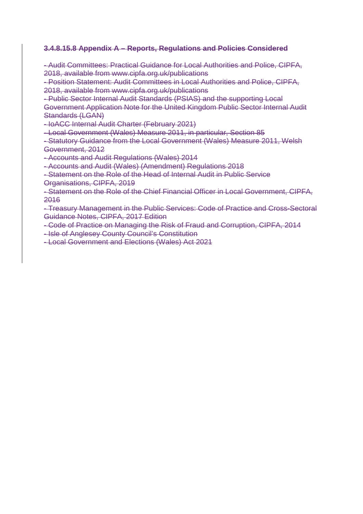## **3.4.8.15.8 Appendix A – Reports, Regulations and Policies Considered**

- Audit Committees: Practical Guidance for Local Authorities and Police, CIPFA, 2018, available from www.cipfa.org.uk/publications

- Position Statement: Audit Committees in Local Authorities and Police, CIPFA, 2018, available from www.cipfa.org.uk/publications

- Public Sector Internal Audit Standards (PSIAS) and the supporting Local Government Application Note for the United Kingdom Public Sector Internal Audit Standards (LGAN)

- IoACC Internal Audit Charter (February 2021)

- Local Government (Wales) Measure 2011, in particular, Section 85

- Statutory Guidance from the Local Government (Wales) Measure 2011, Welsh Government, 2012

- Accounts and Audit Regulations (Wales) 2014

- Accounts and Audit (Wales) (Amendment) Regulations 2018

- Statement on the Role of the Head of Internal Audit in Public Service Organisations, CIPFA, 2019

- Statement on the Role of the Chief Financial Officer in Local Government, CIPFA, 2016

- Treasury Management in the Public Services: Code of Practice and Cross-Sectoral Guidance Notes, CIPFA, 2017 Edition

- Code of Practice on Managing the Risk of Fraud and Corruption, CIPFA, 2014

- Isle of Anglesey County Council's Constitution

- Local Government and Elections (Wales) Act 2021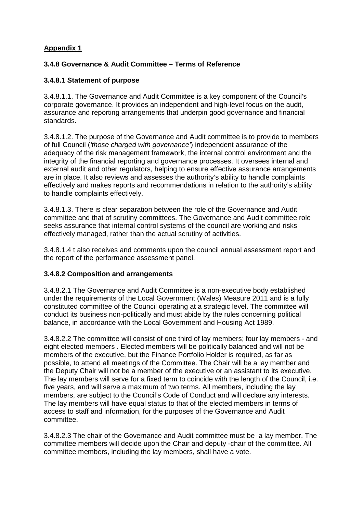# **Appendix 1**

## **3.4.8 Governance & Audit Committee – Terms of Reference**

## **3.4.8.1 Statement of purpose**

3.4.8.1.1. The Governance and Audit Committee is a key component of the Council's corporate governance. It provides an independent and high-level focus on the audit, assurance and reporting arrangements that underpin good governance and financial standards.

3.4.8.1.2. The purpose of the Governance and Audit committee is to provide to members of full Council (*'those charged with governance'*) independent assurance of the adequacy of the risk management framework, the internal control environment and the integrity of the financial reporting and governance processes. It oversees internal and external audit and other regulators, helping to ensure effective assurance arrangements are in place. It also reviews and assesses the authority's ability to handle complaints effectively and makes reports and recommendations in relation to the authority's ability to handle complaints effectively.

3.4.8.1.3. There is clear separation between the role of the Governance and Audit committee and that of scrutiny committees. The Governance and Audit committee role seeks assurance that internal control systems of the council are working and risks effectively managed, rather than the actual scrutiny of activities.

3.4.8.1.4 t also receives and comments upon the council annual assessment report and the report of the performance assessment panel.

### **3.4.8.2 Composition and arrangements**

3.4.8.2.1 The Governance and Audit Committee is a non-executive body established under the requirements of the Local Government (Wales) Measure 2011 and is a fully constituted committee of the Council operating at a strategic level. The committee will conduct its business non-politically and must abide by the rules concerning political balance, in accordance with the Local Government and Housing Act 1989.

3.4.8.2.2 The committee will consist of one third of lay members; four lay members - and eight elected members . Elected members will be politically balanced and will not be members of the executive, but the Finance Portfolio Holder is required, as far as possible, to attend all meetings of the Committee. The Chair will be a lay member and the Deputy Chair will not be a member of the executive or an assistant to its executive. The lay members will serve for a fixed term to coincide with the length of the Council, i.e. five years, and will serve a maximum of two terms. All members, including the lay members, are subject to the Council's Code of Conduct and will declare any interests. The lay members will have equal status to that of the elected members in terms of access to staff and information, for the purposes of the Governance and Audit committee.

3.4.8.2.3 The chair of the Governance and Audit committee must be a lay member. The committee members will decide upon the Chair and deputy -chair of the committee. All committee members, including the lay members, shall have a vote.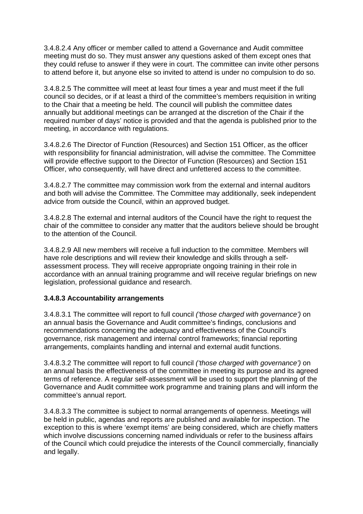3.4.8.2.4 Any officer or member called to attend a Governance and Audit committee meeting must do so. They must answer any questions asked of them except ones that they could refuse to answer if they were in court. The committee can invite other persons to attend before it, but anyone else so invited to attend is under no compulsion to do so.

3.4.8.2.5 The committee will meet at least four times a year and must meet if the full council so decides, or if at least a third of the committee's members requisition in writing to the Chair that a meeting be held. The council will publish the committee dates annually but additional meetings can be arranged at the discretion of the Chair if the required number of days' notice is provided and that the agenda is published prior to the meeting, in accordance with regulations.

3.4.8.2.6 The Director of Function (Resources) and Section 151 Officer, as the officer with responsibility for financial administration, will advise the committee. The Committee will provide effective support to the Director of Function (Resources) and Section 151 Officer, who consequently, will have direct and unfettered access to the committee.

3.4.8.2.7 The committee may commission work from the external and internal auditors and both will advise the Committee. The Committee may additionally, seek independent advice from outside the Council, within an approved budget.

3.4.8.2.8 The external and internal auditors of the Council have the right to request the chair of the committee to consider any matter that the auditors believe should be brought to the attention of the Council.

3.4.8.2.9 All new members will receive a full induction to the committee. Members will have role descriptions and will review their knowledge and skills through a selfassessment process. They will receive appropriate ongoing training in their role in accordance with an annual training programme and will receive regular briefings on new legislation, professional guidance and research.

## **3.4.8.3 Accountability arrangements**

3.4.8.3.1 The committee will report to full council *('those charged with governance')* on an annual basis the Governance and Audit committee's findings, conclusions and recommendations concerning the adequacy and effectiveness of the Council's governance, risk management and internal control frameworks; financial reporting arrangements, complaints handling and internal and external audit functions.

3.4.8.3.2 The committee will report to full council *('those charged with governance')* on an annual basis the effectiveness of the committee in meeting its purpose and its agreed terms of reference. A regular self-assessment will be used to support the planning of the Governance and Audit committee work programme and training plans and will inform the committee's annual report.

3.4.8.3.3 The committee is subject to normal arrangements of openness. Meetings will be held in public, agendas and reports are published and available for inspection. The exception to this is where 'exempt items' are being considered, which are chiefly matters which involve discussions concerning named individuals or refer to the business affairs of the Council which could prejudice the interests of the Council commercially, financially and legally.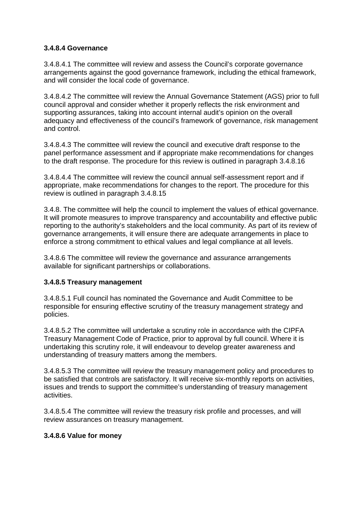## **3.4.8.4 Governance**

3.4.8.4.1 The committee will review and assess the Council's corporate governance arrangements against the good governance framework, including the ethical framework, and will consider the local code of governance.

3.4.8.4.2 The committee will review the Annual Governance Statement (AGS) prior to full council approval and consider whether it properly reflects the risk environment and supporting assurances, taking into account internal audit's opinion on the overall adequacy and effectiveness of the council's framework of governance, risk management and control.

3.4.8.4.3 The committee will review the council and executive draft response to the panel performance assessment and if appropriate make recommendations for changes to the draft response. The procedure for this review is outlined in paragraph 3.4.8.16

3.4.8.4.4 The committee will review the council annual self-assessment report and if appropriate, make recommendations for changes to the report. The procedure for this review is outlined in paragraph 3.4.8.15

3.4.8. The committee will help the council to implement the values of ethical governance. It will promote measures to improve transparency and accountability and effective public reporting to the authority's stakeholders and the local community. As part of its review of governance arrangements, it will ensure there are adequate arrangements in place to enforce a strong commitment to ethical values and legal compliance at all levels.

3.4.8.6 The committee will review the governance and assurance arrangements available for significant partnerships or collaborations.

## **3.4.8.5 Treasury management**

3.4.8.5.1 Full council has nominated the Governance and Audit Committee to be responsible for ensuring effective scrutiny of the treasury management strategy and policies.

3.4.8.5.2 The committee will undertake a scrutiny role in accordance with the CIPFA Treasury Management Code of Practice, prior to approval by full council. Where it is undertaking this scrutiny role, it will endeavour to develop greater awareness and understanding of treasury matters among the members.

3.4.8.5.3 The committee will review the treasury management policy and procedures to be satisfied that controls are satisfactory. It will receive six-monthly reports on activities, issues and trends to support the committee's understanding of treasury management activities.

3.4.8.5.4 The committee will review the treasury risk profile and processes, and will review assurances on treasury management.

### **3.4.8.6 Value for money**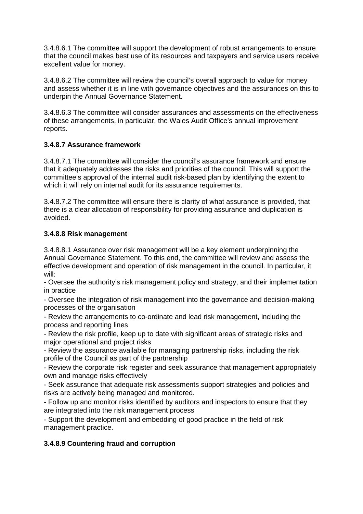3.4.8.6.1 The committee will support the development of robust arrangements to ensure that the council makes best use of its resources and taxpayers and service users receive excellent value for money.

3.4.8.6.2 The committee will review the council's overall approach to value for money and assess whether it is in line with governance objectives and the assurances on this to underpin the Annual Governance Statement.

3.4.8.6.3 The committee will consider assurances and assessments on the effectiveness of these arrangements, in particular, the Wales Audit Office's annual improvement reports.

# **3.4.8.7 Assurance framework**

3.4.8.7.1 The committee will consider the council's assurance framework and ensure that it adequately addresses the risks and priorities of the council. This will support the committee's approval of the internal audit risk-based plan by identifying the extent to which it will rely on internal audit for its assurance requirements.

3.4.8.7.2 The committee will ensure there is clarity of what assurance is provided, that there is a clear allocation of responsibility for providing assurance and duplication is avoided.

# **3.4.8.8 Risk management**

3.4.8.8.1 Assurance over risk management will be a key element underpinning the Annual Governance Statement. To this end, the committee will review and assess the effective development and operation of risk management in the council. In particular, it will:

- Oversee the authority's risk management policy and strategy, and their implementation in practice

- Oversee the integration of risk management into the governance and decision-making processes of the organisation

- Review the arrangements to co-ordinate and lead risk management, including the process and reporting lines

- Review the risk profile, keep up to date with significant areas of strategic risks and major operational and project risks

- Review the assurance available for managing partnership risks, including the risk profile of the Council as part of the partnership

- Review the corporate risk register and seek assurance that management appropriately own and manage risks effectively

- Seek assurance that adequate risk assessments support strategies and policies and risks are actively being managed and monitored.

- Follow up and monitor risks identified by auditors and inspectors to ensure that they are integrated into the risk management process

- Support the development and embedding of good practice in the field of risk management practice.

# **3.4.8.9 Countering fraud and corruption**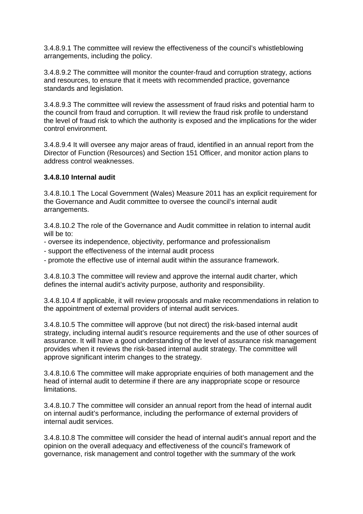3.4.8.9.1 The committee will review the effectiveness of the council's whistleblowing arrangements, including the policy.

3.4.8.9.2 The committee will monitor the counter-fraud and corruption strategy, actions and resources, to ensure that it meets with recommended practice, governance standards and legislation.

3.4.8.9.3 The committee will review the assessment of fraud risks and potential harm to the council from fraud and corruption. It will review the fraud risk profile to understand the level of fraud risk to which the authority is exposed and the implications for the wider control environment.

3.4.8.9.4 It will oversee any major areas of fraud, identified in an annual report from the Director of Function (Resources) and Section 151 Officer, and monitor action plans to address control weaknesses.

### **3.4.8.10 Internal audit**

3.4.8.10.1 The Local Government (Wales) Measure 2011 has an explicit requirement for the Governance and Audit committee to oversee the council's internal audit arrangements.

3.4.8.10.2 The role of the Governance and Audit committee in relation to internal audit will be to:

- oversee its independence, objectivity, performance and professionalism
- support the effectiveness of the internal audit process
- promote the effective use of internal audit within the assurance framework.

3.4.8.10.3 The committee will review and approve the internal audit charter, which defines the internal audit's activity purpose, authority and responsibility.

3.4.8.10.4 If applicable, it will review proposals and make recommendations in relation to the appointment of external providers of internal audit services.

3.4.8.10.5 The committee will approve (but not direct) the risk-based internal audit strategy, including internal audit's resource requirements and the use of other sources of assurance. It will have a good understanding of the level of assurance risk management provides when it reviews the risk-based internal audit strategy. The committee will approve significant interim changes to the strategy.

3.4.8.10.6 The committee will make appropriate enquiries of both management and the head of internal audit to determine if there are any inappropriate scope or resource limitations.

3.4.8.10.7 The committee will consider an annual report from the head of internal audit on internal audit's performance, including the performance of external providers of internal audit services.

3.4.8.10.8 The committee will consider the head of internal audit's annual report and the opinion on the overall adequacy and effectiveness of the council's framework of governance, risk management and control together with the summary of the work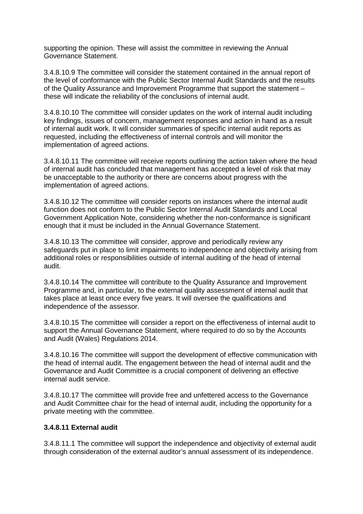supporting the opinion. These will assist the committee in reviewing the Annual Governance Statement.

3.4.8.10.9 The committee will consider the statement contained in the annual report of the level of conformance with the Public Sector Internal Audit Standards and the results of the Quality Assurance and Improvement Programme that support the statement – these will indicate the reliability of the conclusions of internal audit.

3.4.8.10.10 The committee will consider updates on the work of internal audit including key findings, issues of concern, management responses and action in hand as a result of internal audit work. It will consider summaries of specific internal audit reports as requested, including the effectiveness of internal controls and will monitor the implementation of agreed actions.

3.4.8.10.11 The committee will receive reports outlining the action taken where the head of internal audit has concluded that management has accepted a level of risk that may be unacceptable to the authority or there are concerns about progress with the implementation of agreed actions.

3.4.8.10.12 The committee will consider reports on instances where the internal audit function does not conform to the Public Sector Internal Audit Standards and Local Government Application Note, considering whether the non-conformance is significant enough that it must be included in the Annual Governance Statement.

3.4.8.10.13 The committee will consider, approve and periodically review any safeguards put in place to limit impairments to independence and objectivity arising from additional roles or responsibilities outside of internal auditing of the head of internal audit.

3.4.8.10.14 The committee will contribute to the Quality Assurance and Improvement Programme and, in particular, to the external quality assessment of internal audit that takes place at least once every five years. It will oversee the qualifications and independence of the assessor.

3.4.8.10.15 The committee will consider a report on the effectiveness of internal audit to support the Annual Governance Statement, where required to do so by the Accounts and Audit (Wales) Regulations 2014.

3.4.8.10.16 The committee will support the development of effective communication with the head of internal audit. The engagement between the head of internal audit and the Governance and Audit Committee is a crucial component of delivering an effective internal audit service.

3.4.8.10.17 The committee will provide free and unfettered access to the Governance and Audit Committee chair for the head of internal audit, including the opportunity for a private meeting with the committee.

## **3.4.8.11 External audit**

3.4.8.11.1 The committee will support the independence and objectivity of external audit through consideration of the external auditor's annual assessment of its independence.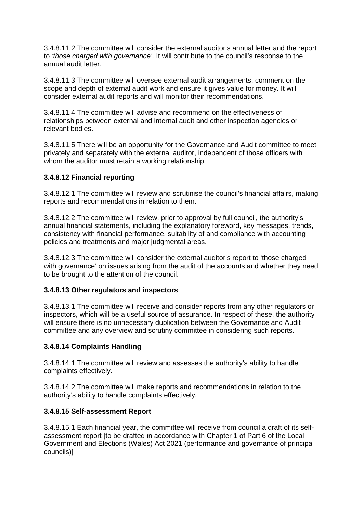3.4.8.11.2 The committee will consider the external auditor's annual letter and the report to *'those charged with governance'*. It will contribute to the council's response to the annual audit letter.

3.4.8.11.3 The committee will oversee external audit arrangements, comment on the scope and depth of external audit work and ensure it gives value for money. It will consider external audit reports and will monitor their recommendations.

3.4.8.11.4 The committee will advise and recommend on the effectiveness of relationships between external and internal audit and other inspection agencies or relevant bodies.

3.4.8.11.5 There will be an opportunity for the Governance and Audit committee to meet privately and separately with the external auditor, independent of those officers with whom the auditor must retain a working relationship.

## **3.4.8.12 Financial reporting**

3.4.8.12.1 The committee will review and scrutinise the council's financial affairs, making reports and recommendations in relation to them.

3.4.8.12.2 The committee will review, prior to approval by full council, the authority's annual financial statements, including the explanatory foreword, key messages, trends, consistency with financial performance, suitability of and compliance with accounting policies and treatments and major judgmental areas.

3.4.8.12.3 The committee will consider the external auditor's report to 'those charged with governance' on issues arising from the audit of the accounts and whether they need to be brought to the attention of the council.

### **3.4.8.13 Other regulators and inspectors**

3.4.8.13.1 The committee will receive and consider reports from any other regulators or inspectors, which will be a useful source of assurance. In respect of these, the authority will ensure there is no unnecessary duplication between the Governance and Audit committee and any overview and scrutiny committee in considering such reports.

## **3.4.8.14 Complaints Handling**

3.4.8.14.1 The committee will review and assesses the authority's ability to handle complaints effectively.

3.4.8.14.2 The committee will make reports and recommendations in relation to the authority's ability to handle complaints effectively.

### **3.4.8.15 Self-assessment Report**

3.4.8.15.1 Each financial year, the committee will receive from council a draft of its selfassessment report [to be drafted in accordance with Chapter 1 of Part 6 of the Local Government and Elections (Wales) Act 2021 (performance and governance of principal councils)]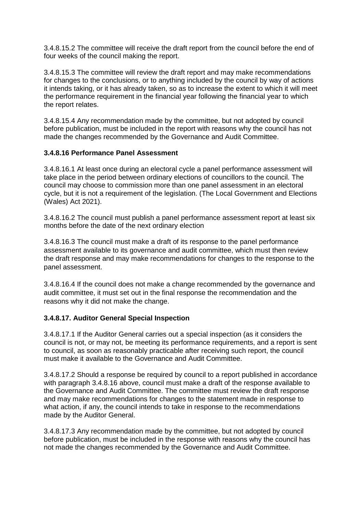3.4.8.15.2 The committee will receive the draft report from the council before the end of four weeks of the council making the report.

3.4.8.15.3 The committee will review the draft report and may make recommendations for changes to the conclusions, or to anything included by the council by way of actions it intends taking, or it has already taken, so as to increase the extent to which it will meet the performance requirement in the financial year following the financial year to which the report relates.

3.4.8.15.4 Any recommendation made by the committee, but not adopted by council before publication, must be included in the report with reasons why the council has not made the changes recommended by the Governance and Audit Committee.

## **3.4.8.16 Performance Panel Assessment**

3.4.8.16.1 At least once during an electoral cycle a panel performance assessment will take place in the period between ordinary elections of councillors to the council. The council may choose to commission more than one panel assessment in an electoral cycle, but it is not a requirement of the legislation. (The Local Government and Elections (Wales) Act 2021).

3.4.8.16.2 The council must publish a panel performance assessment report at least six months before the date of the next ordinary election

3.4.8.16.3 The council must make a draft of its response to the panel performance assessment available to its governance and audit committee, which must then review the draft response and may make recommendations for changes to the response to the panel assessment.

3.4.8.16.4 If the council does not make a change recommended by the governance and audit committee, it must set out in the final response the recommendation and the reasons why it did not make the change.

## **3.4.8.17. Auditor General Special Inspection**

3.4.8.17.1 If the Auditor General carries out a special inspection (as it considers the council is not, or may not, be meeting its performance requirements, and a report is sent to council, as soon as reasonably practicable after receiving such report, the council must make it available to the Governance and Audit Committee.

3.4.8.17.2 Should a response be required by council to a report published in accordance with paragraph 3.4.8.16 above, council must make a draft of the response available to the Governance and Audit Committee. The committee must review the draft response and may make recommendations for changes to the statement made in response to what action, if any, the council intends to take in response to the recommendations made by the Auditor General.

3.4.8.17.3 Any recommendation made by the committee, but not adopted by council before publication, must be included in the response with reasons why the council has not made the changes recommended by the Governance and Audit Committee.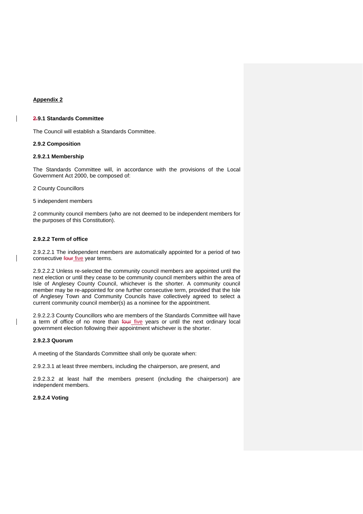#### **Appendix 2**

 $\overline{\phantom{a}}$ 

 $\overline{\phantom{a}}$ 

#### **2.9.1 Standards Committee**

The Council will establish a Standards Committee.

#### **2.9.2 Composition**

#### **2.9.2.1 Membership**

The Standards Committee will, in accordance with the provisions of the Local Government Act 2000, be composed of:

2 County Councillors

5 independent members

2 community council members (who are not deemed to be independent members for the purposes of this Constitution).

#### **2.9.2.2 Term of office**

2.9.2.2.1 The independent members are automatically appointed for a period of two consecutive four five year terms.

2.9.2.2.2 Unless re-selected the community council members are appointed until the next election or until they cease to be community council members within the area of Isle of Anglesey County Council, whichever is the shorter. A community council member may be re-appointed for one further consecutive term, provided that the Isle of Anglesey Town and Community Councils have collectively agreed to select a current community council member(s) as a nominee for the appointment.

2.9.2.2.3 County Councillors who are members of the Standards Committee will have a term of office of no more than four five years or until the next ordinary local government election following their appointment whichever is the shorter.

#### **2.9.2.3 Quorum**

A meeting of the Standards Committee shall only be quorate when:

2.9.2.3.1 at least three members, including the chairperson, are present, and

2.9.2.3.2 at least half the members present (including the chairperson) are independent members.

#### **2.9.2.4 Voting**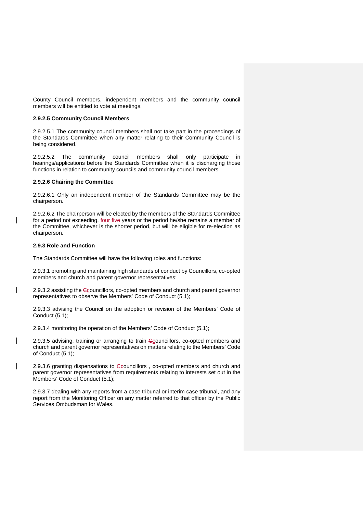County Council members, independent members and the community council members will be entitled to vote at meetings.

#### **2.9.2.5 Community Council Members**

2.9.2.5.1 The community council members shall not take part in the proceedings of the Standards Committee when any matter relating to their Community Council is being considered.

2.9.2.5.2 The community council members shall only participate in hearings/applications before the Standards Committee when it is discharging those functions in relation to community councils and community council members.

#### **2.9.2.6 Chairing the Committee**

2.9.2.6.1 Only an independent member of the Standards Committee may be the chairperson.

2.9.2.6.2 The chairperson will be elected by the members of the Standards Committee for a period not exceeding, four five years or the period he/she remains a member of the Committee, whichever is the shorter period, but will be eligible for re-election as chairperson.

#### **2.9.3 Role and Function**

 $\overline{\phantom{a}}$ 

 $\overline{\phantom{a}}$ 

The Standards Committee will have the following roles and functions:

2.9.3.1 promoting and maintaining high standards of conduct by Councillors, co-opted members and church and parent governor representatives;

2.9.3.2 assisting the Gouncillors, co-opted members and church and parent governor representatives to observe the Members' Code of Conduct (5.1);

2.9.3.3 advising the Council on the adoption or revision of the Members' Code of Conduct (5.1);

2.9.3.4 monitoring the operation of the Members' Code of Conduct (5.1);

2.9.3.5 advising, training or arranging to train Ccouncillors, co-opted members and church and parent governor representatives on matters relating to the Members' Code of Conduct (5.1);

2.9.3.6 granting dispensations to Ccouncillors, co-opted members and church and parent governor representatives from requirements relating to interests set out in the Members' Code of Conduct (5.1);

2.9.3.7 dealing with any reports from a case tribunal or interim case tribunal, and any report from the Monitoring Officer on any matter referred to that officer by the Public Services Ombudsman for Wales.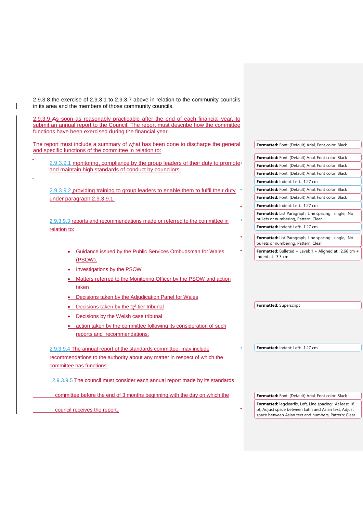2.9.3.8 the exercise of 2.9.3.1 to 2.9.3.7 above in relation to the community councils in its area and the members of those community councils.

2.9.3.9 As soon as reasonably practicable after the end of each financial year, to submit an annual report to the Council. The report must describe how the committee functions have been exercised during the financial year.

The report must include a summary of what has been done to discharge the general and specific functions of the committee in relation to:

2.9.3.9.1 monitoring, compliance by the group leaders of their duty to promote and maintain high standards of conduct by councilors.

2.9.3.9.2 providing training to group leaders to enable them to fulfil their duty under paragraph 2.9.3.9.1.

2.9.3.9.3 reports and recommendations made or referred to the committee in relation to:

- Guidance issued by the Public Services Ombudsman for Wales (PSOW).
- Investigations by the PSOW
- Matters referred to the Monitoring Officer by the PSOW and action taken
- Decisions taken by the Adjudication Panel for Wales
- Decisions taken by the  $1<sup>st</sup>$  tier tribunal
- Decisions by the Welsh case tribunal
- action taken by the committee following its consideration of such reports and recommendations.

2.9.3.9.4 The annual report of the standards committee may include recommendations to the authority about any matter in respect of which the committee has functions.

2.9.3.9.5 The council must consider each annual report made by its standards

committee before the end of 3 months beginning with the day on which the

council receives the report.

| Formatted: Font: (Default) Arial, Font color: Black                                                |
|----------------------------------------------------------------------------------------------------|
|                                                                                                    |
| <b>Formatted:</b> Font: (Default) Arial, Font color: Black                                         |
| Formatted: Font: (Default) Arial, Font color: Black                                                |
| <b>Formatted:</b> Font: (Default) Arial, Font color: Black                                         |
| Formatted: Indent: Left: 1.27 cm                                                                   |
| <b>Formatted:</b> Font: (Default) Arial, Font color: Black                                         |
| <b>Formatted:</b> Font: (Default) Arial, Font color: Black                                         |
| Formatted: Indent: Left: 1.27 cm                                                                   |
| <b>Formatted:</b> List Paragraph, Line spacing: single, No<br>bullets or numbering, Pattern: Clear |
| Formatted: Indent: Left: 1.27 cm                                                                   |
|                                                                                                    |
| <b>Formatted:</b> List Paragraph, Line spacing: single, No<br>bullets or numbering, Pattern: Clear |
| Formatted: Bulleted + Level: $1 +$ Aligned at: 2.66 cm +<br>Indent at: $3.3 \text{ cm}$            |
|                                                                                                    |

**Formatted:** Indent: Left: 1.27 cm

**Formatted:** Superscript

**Formatted:** Font: (Default) Arial, Font color: Black

**Formatted:** legclearfix, Left, Line spacing: At least 18 pt, Adjust space between Latin and Asian text, Adjust space between Asian text and numbers, Pattern: Clear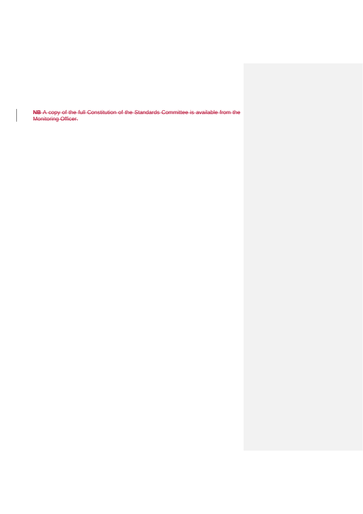**NB** A copy of the full Constitution of the Standards Committee is available from the Monitoring Officer.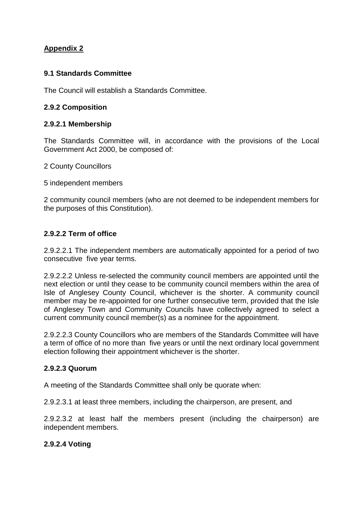# **Appendix 2**

# **9.1 Standards Committee**

The Council will establish a Standards Committee.

# **2.9.2 Composition**

## **2.9.2.1 Membership**

The Standards Committee will, in accordance with the provisions of the Local Government Act 2000, be composed of:

2 County Councillors

5 independent members

2 community council members (who are not deemed to be independent members for the purposes of this Constitution).

# **2.9.2.2 Term of office**

2.9.2.2.1 The independent members are automatically appointed for a period of two consecutive five year terms.

2.9.2.2.2 Unless re-selected the community council members are appointed until the next election or until they cease to be community council members within the area of Isle of Anglesey County Council, whichever is the shorter. A community council member may be re-appointed for one further consecutive term, provided that the Isle of Anglesey Town and Community Councils have collectively agreed to select a current community council member(s) as a nominee for the appointment.

2.9.2.2.3 County Councillors who are members of the Standards Committee will have a term of office of no more than five years or until the next ordinary local government election following their appointment whichever is the shorter.

## **2.9.2.3 Quorum**

A meeting of the Standards Committee shall only be quorate when:

2.9.2.3.1 at least three members, including the chairperson, are present, and

2.9.2.3.2 at least half the members present (including the chairperson) are independent members.

# **2.9.2.4 Voting**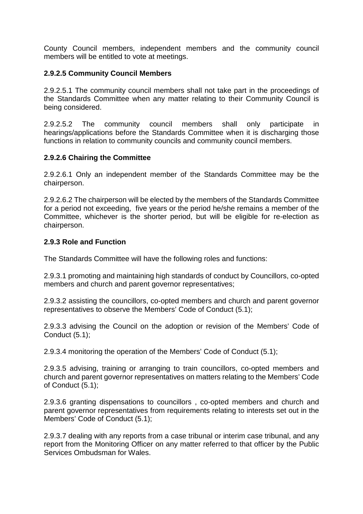County Council members, independent members and the community council members will be entitled to vote at meetings.

# **2.9.2.5 Community Council Members**

2.9.2.5.1 The community council members shall not take part in the proceedings of the Standards Committee when any matter relating to their Community Council is being considered.

2.9.2.5.2 The community council members shall only participate in hearings/applications before the Standards Committee when it is discharging those functions in relation to community councils and community council members.

## **2.9.2.6 Chairing the Committee**

2.9.2.6.1 Only an independent member of the Standards Committee may be the chairperson.

2.9.2.6.2 The chairperson will be elected by the members of the Standards Committee for a period not exceeding, five years or the period he/she remains a member of the Committee, whichever is the shorter period, but will be eligible for re-election as chairperson.

## **2.9.3 Role and Function**

The Standards Committee will have the following roles and functions:

2.9.3.1 promoting and maintaining high standards of conduct by Councillors, co-opted members and church and parent governor representatives;

2.9.3.2 assisting the councillors, co-opted members and church and parent governor representatives to observe the Members' Code of Conduct (5.1);

2.9.3.3 advising the Council on the adoption or revision of the Members' Code of Conduct (5.1);

2.9.3.4 monitoring the operation of the Members' Code of Conduct (5.1);

2.9.3.5 advising, training or arranging to train councillors, co-opted members and church and parent governor representatives on matters relating to the Members' Code of Conduct (5.1);

2.9.3.6 granting dispensations to councillors , co-opted members and church and parent governor representatives from requirements relating to interests set out in the Members' Code of Conduct (5.1);

2.9.3.7 dealing with any reports from a case tribunal or interim case tribunal, and any report from the Monitoring Officer on any matter referred to that officer by the Public Services Ombudsman for Wales.